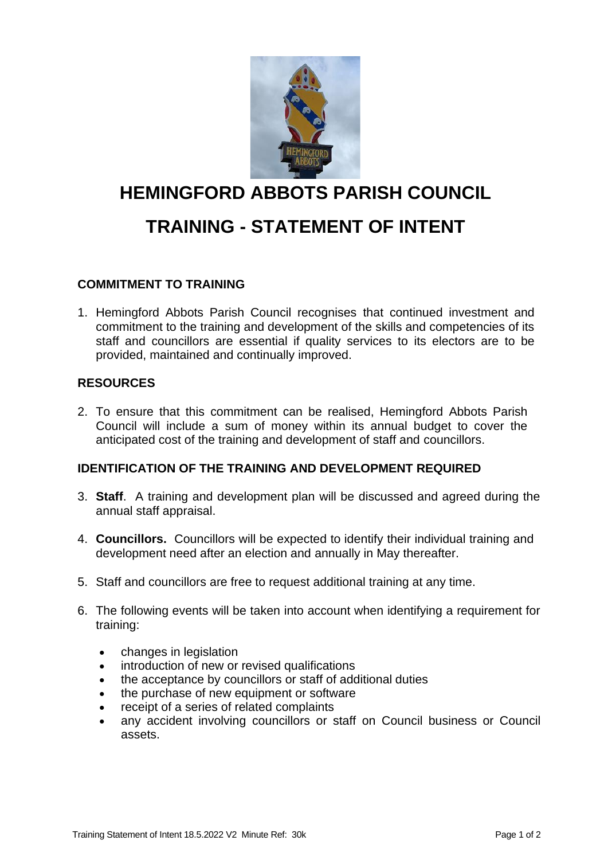

# **HEMINGFORD ABBOTS PARISH COUNCIL TRAINING - STATEMENT OF INTENT**

## **COMMITMENT TO TRAINING**

1. Hemingford Abbots Parish Council recognises that continued investment and commitment to the training and development of the skills and competencies of its staff and councillors are essential if quality services to its electors are to be provided, maintained and continually improved.

### **RESOURCES**

2. To ensure that this commitment can be realised, Hemingford Abbots Parish Council will include a sum of money within its annual budget to cover the anticipated cost of the training and development of staff and councillors.

### **IDENTIFICATION OF THE TRAINING AND DEVELOPMENT REQUIRED**

- 3. **Staff**. A training and development plan will be discussed and agreed during the annual staff appraisal.
- 4. **Councillors.** Councillors will be expected to identify their individual training and development need after an election and annually in May thereafter.
- 5. Staff and councillors are free to request additional training at any time.
- 6. The following events will be taken into account when identifying a requirement for training:
	- changes in legislation
	- introduction of new or revised qualifications
	- the acceptance by councillors or staff of additional duties
	- the purchase of new equipment or software
	- receipt of a series of related complaints
	- any accident involving councillors or staff on Council business or Council assets.